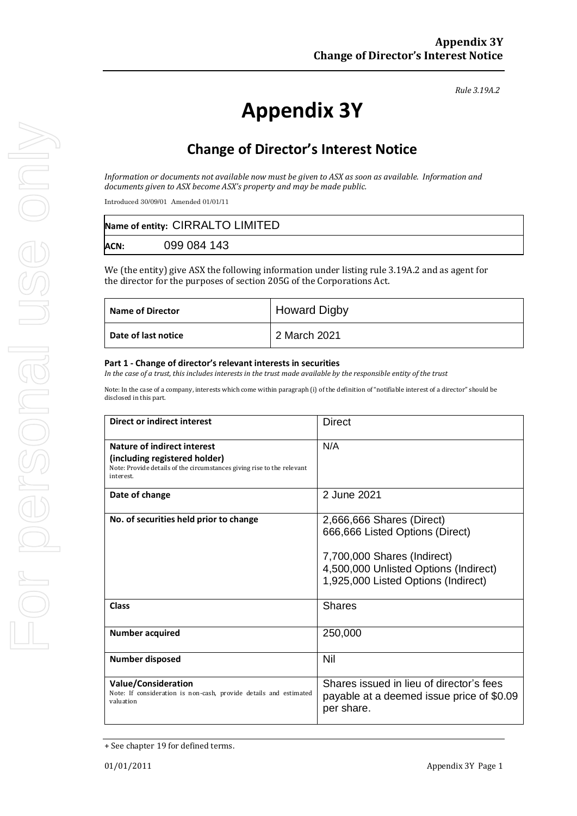*Rule 3.19A.2*

# **Appendix 3Y**

# **Change of Director's Interest Notice**

*Information or documents not available now must be given to ASX as soon as available. Information and documents given to ASX become ASX's property and may be made public.*

Introduced 30/09/01 Amended 01/01/11

|             | Name of entity: CIRRALTO LIMITED |
|-------------|----------------------------------|
| <b>ACN:</b> | 099 084 143                      |

We (the entity) give ASX the following information under listing rule 3.19A.2 and as agent for the director for the purposes of section 205G of the Corporations Act.

| <b>Name of Director</b> | <b>Howard Digby</b> |
|-------------------------|---------------------|
| Date of last notice     | 2 March 2021        |

#### **Part 1 - Change of director's relevant interests in securities**

*In the case of a trust, this includes interests in the trust made available by the responsible entity of the trust*

Note: In the case of a company, interests which come within paragraph (i) of the definition of "notifiable interest of a director" should be disclosed in this part.

| <b>Direct or indirect interest</b>                                                                                                                  | <b>Direct</b>                                                                                                                                                               |  |
|-----------------------------------------------------------------------------------------------------------------------------------------------------|-----------------------------------------------------------------------------------------------------------------------------------------------------------------------------|--|
| Nature of indirect interest<br>(including registered holder)<br>Note: Provide details of the circumstances giving rise to the relevant<br>interest. | N/A                                                                                                                                                                         |  |
| Date of change                                                                                                                                      | 2 June 2021                                                                                                                                                                 |  |
| No. of securities held prior to change                                                                                                              | 2,666,666 Shares (Direct)<br>666,666 Listed Options (Direct)<br>7,700,000 Shares (Indirect)<br>4,500,000 Unlisted Options (Indirect)<br>1,925,000 Listed Options (Indirect) |  |
| Class                                                                                                                                               | <b>Shares</b>                                                                                                                                                               |  |
| <b>Number acquired</b>                                                                                                                              | 250,000                                                                                                                                                                     |  |
| <b>Number disposed</b>                                                                                                                              | Nil                                                                                                                                                                         |  |
| <b>Value/Consideration</b><br>Note: If consideration is non-cash, provide details and estimated<br>valuation                                        | Shares issued in lieu of director's fees<br>payable at a deemed issue price of \$0.09<br>per share.                                                                         |  |

<sup>+</sup> See chapter 19 for defined terms.